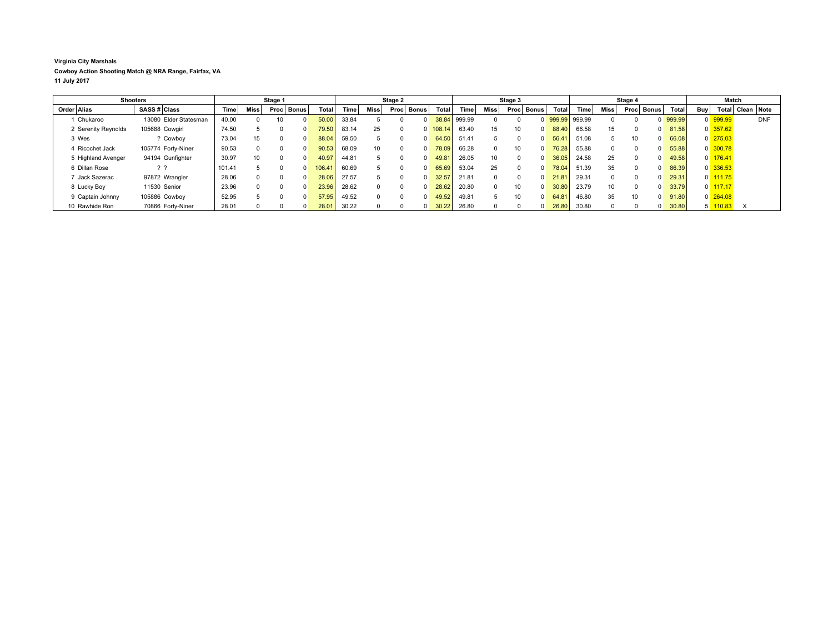## **Virginia City Marshals Cowboy Action Shooting Match @ NRA Range, Fairfax, VA 11 July 2017**

|                     | <b>Shooters</b>       |        |      | Stage 1  |              |        |       |          | Stage 2  |          |              |        |                 | Stage 3         |            |        |        |          | Stage 4         |            |        |            | Match                 |                  |            |
|---------------------|-----------------------|--------|------|----------|--------------|--------|-------|----------|----------|----------|--------------|--------|-----------------|-----------------|------------|--------|--------|----------|-----------------|------------|--------|------------|-----------------------|------------------|------------|
| Order Alias         | SASS # Class          | Time   | Miss |          | Proc   Bonus | Total  | Time  | Miss     | Proc     | Bonus    | <b>Total</b> | Time   | Miss            |                 | Proc Bonus | Total  | Time   | Miss     |                 | Proc Bonus | Total  | <b>Buv</b> |                       | Total Clean Note |            |
| 1 Chukaroo          | 13080 Elder Statesman | 40.00  |      | 10       |              | 50.00  | 33.84 |          |          |          | 38.84        | 999.99 |                 |                 |            | 999.99 | 999.99 |          |                 |            | 999.99 |            | 0 999.99              |                  | <b>DNF</b> |
| 2 Serenity Reynolds | 105688 Cowgirl        | 74.50  |      | $\Omega$ | n.           | 79.50  | 83.14 | 25       | $\Omega$ | $\Omega$ | 108.14       | 63.40  | 15              | 10              | $\Omega$   | 88.40  | 66.58  | 15       |                 |            | 81.58  |            | $0$ 357.62            |                  |            |
| 3 Wes               | ? Cowboy              | 73.04  | 15   | 0        | <sup>0</sup> | 88.04  | 59.50 | 5        |          | $\Omega$ | 64.50        | 51.41  |                 |                 | $\Omega$   | 56.41  | 51.08  |          |                 |            | 66.08  |            | $0 \overline{275.03}$ |                  |            |
| 4 Ricochet Jack     | 105774 Forty-Niner    | 90.53  |      |          | <sup>n</sup> | 90.53  | 68.09 | 10       | $\Omega$ | $\Omega$ | 78.09        | 66.28  |                 | 10              | $\Omega$   | 76.28  | 55.88  | $\Omega$ |                 |            | 55.88  |            | $0$ 300.78            |                  |            |
| 5 Highland Avenger  | 94194 Gunfighter      | 30.97  | 10   |          | n.           | 40.97  | 44.81 |          |          | $\Omega$ | 49.81        | 26.05  | 10 <sup>°</sup> | $\Omega$        | $\Omega$   | 36.05  | 24.58  | 25       |                 |            | 49.58  |            | $0$ 176.41            |                  |            |
| 6 Dillan Rose       | ??                    | 101.41 |      |          |              | 106.41 | 60.69 |          |          | $\Omega$ | 65.69        | 53.04  | 25              |                 | $\Omega$   | 78.04  | 51.39  | 35       |                 |            | 86.39  |            | 0 336.53              |                  |            |
| 7 Jack Sazerac      | 97872 Wrangler        | 28.06  |      | $\Omega$ |              | 28.06  | 27.57 | 5        | $\Omega$ | $\Omega$ | 32.57        | 21.81  |                 |                 | $\Omega$   | 21.81  | 29.31  | $\Omega$ |                 |            | 29.31  |            | $0$ 111.75            |                  |            |
| 8 Lucky Boy         | 11530 Senior          | 23.96  |      | ŋ        |              | 23.96  | 28.62 | $\Omega$ | $\Omega$ | $\Omega$ | 28.62        | 20.80  |                 | 10              | $\Omega$   | 30.80  | 23.79  | 10       |                 |            | 33.79  |            | $0$ 117.17            |                  |            |
| 9 Captain Johnny    | 105886 Cowboy         | 52.95  |      | U        |              | 57.95  | 49.52 | $\Omega$ | $\Omega$ | $\Omega$ | 49.52        | 49.81  | 5               | 10 <sup>1</sup> | $\Omega$   | 64.81  | 46.80  | 35       | 10 <sup>1</sup> |            | 91.80  |            | $0\overline{264.08}$  |                  |            |
| 10 Rawhide Ron      | 70866 Fortv-Niner     | 28.01  |      |          |              | 28.01  | 30.22 |          |          |          | 30.22        | 26.80  |                 |                 |            | 26.80  | 30.80  |          |                 |            | 30.80  |            | $5 \overline{110.83}$ |                  |            |